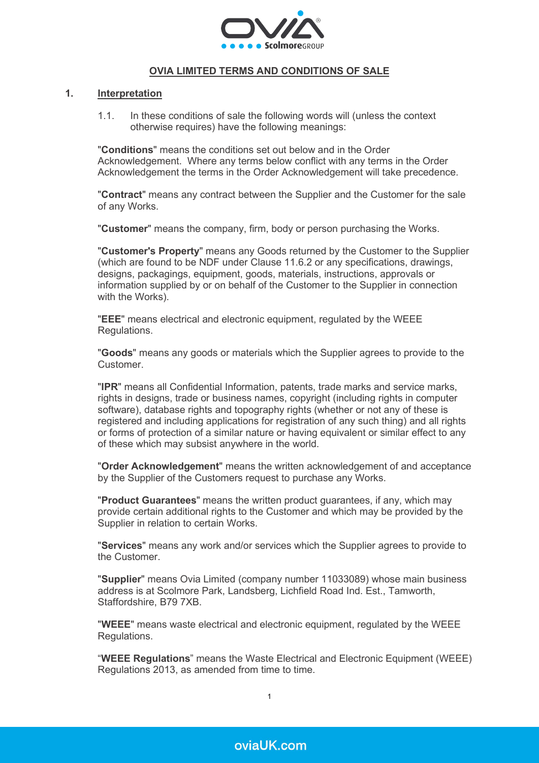

# **OVIA LIMITED TERMS AND CONDITIONS OF SALE**

### **1. Interpretation**

1.1. In these conditions of sale the following words will (unless the context otherwise requires) have the following meanings:

"**Conditions**" means the conditions set out below and in the Order Acknowledgement. Where any terms below conflict with any terms in the Order Acknowledgement the terms in the Order Acknowledgement will take precedence.

"**Contract**" means any contract between the Supplier and the Customer for the sale of any Works.

"**Customer**" means the company, firm, body or person purchasing the Works.

"**Customer's Property**" means any Goods returned by the Customer to the Supplier (which are found to be NDF under Clause [11.6.2](#page-10-0) or any specifications, drawings, designs, packagings, equipment, goods, materials, instructions, approvals or information supplied by or on behalf of the Customer to the Supplier in connection with the Works).

"**EEE**" means electrical and electronic equipment, regulated by the WEEE Regulations.

"**Goods**" means any goods or materials which the Supplier agrees to provide to the Customer.

"**IPR**" means all Confidential Information, patents, trade marks and service marks, rights in designs, trade or business names, copyright (including rights in computer software), database rights and topography rights (whether or not any of these is registered and including applications for registration of any such thing) and all rights or forms of protection of a similar nature or having equivalent or similar effect to any of these which may subsist anywhere in the world.

"**Order Acknowledgement**" means the written acknowledgement of and acceptance by the Supplier of the Customers request to purchase any Works.

"**Product Guarantees**" means the written product guarantees, if any, which may provide certain additional rights to the Customer and which may be provided by the Supplier in relation to certain Works.

"**Services**" means any work and/or services which the Supplier agrees to provide to the Customer.

"**Supplier**" means Ovia Limited (company number 11033089) whose main business address is at Scolmore Park, Landsberg, Lichfield Road Ind. Est., Tamworth, Staffordshire, B79 7XB.

"**WEEE**" means waste electrical and electronic equipment, regulated by the WEEE Regulations.

"**WEEE Regulations**" means the Waste Electrical and Electronic Equipment (WEEE) Regulations 2013, as amended from time to time.

1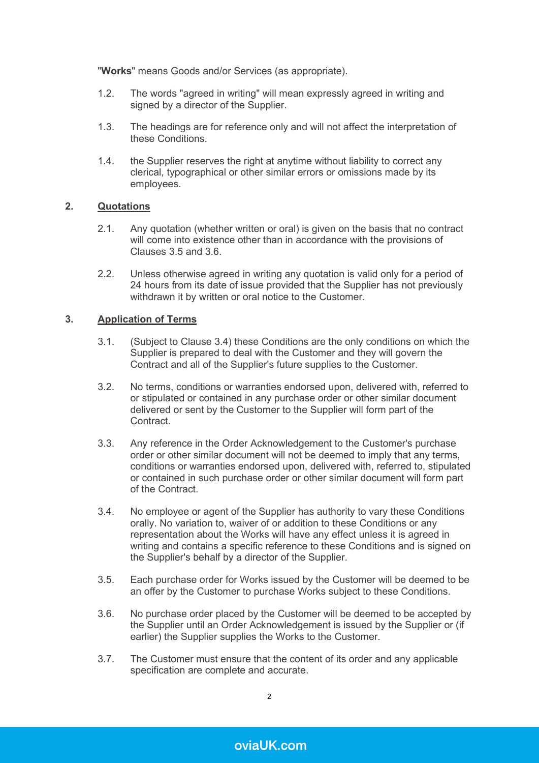"**Works**" means Goods and/or Services (as appropriate).

- 1.2. The words "agreed in writing" will mean expressly agreed in writing and signed by a director of the Supplier.
- 1.3. The headings are for reference only and will not affect the interpretation of these Conditions.
- 1.4. the Supplier reserves the right at anytime without liability to correct any clerical, typographical or other similar errors or omissions made by its employees.

# **2. Quotations**

- 2.1. Any quotation (whether written or oral) is given on the basis that no contract will come into existence other than in accordance with the provisions of Clauses [3.5](#page-1-0) and [3.6.](#page-1-1)
- 2.2. Unless otherwise agreed in writing any quotation is valid only for a period of 24 hours from its date of issue provided that the Supplier has not previously withdrawn it by written or oral notice to the Customer.

# **3. Application of Terms**

- 3.1. (Subject to Clause [3.4\)](#page-1-2) these Conditions are the only conditions on which the Supplier is prepared to deal with the Customer and they will govern the Contract and all of the Supplier's future supplies to the Customer.
- 3.2. No terms, conditions or warranties endorsed upon, delivered with, referred to or stipulated or contained in any purchase order or other similar document delivered or sent by the Customer to the Supplier will form part of the Contract.
- 3.3. Any reference in the Order Acknowledgement to the Customer's purchase order or other similar document will not be deemed to imply that any terms, conditions or warranties endorsed upon, delivered with, referred to, stipulated or contained in such purchase order or other similar document will form part of the Contract.
- <span id="page-1-2"></span>3.4. No employee or agent of the Supplier has authority to vary these Conditions orally. No variation to, waiver of or addition to these Conditions or any representation about the Works will have any effect unless it is agreed in writing and contains a specific reference to these Conditions and is signed on the Supplier's behalf by a director of the Supplier.
- <span id="page-1-0"></span>3.5. Each purchase order for Works issued by the Customer will be deemed to be an offer by the Customer to purchase Works subject to these Conditions.
- <span id="page-1-1"></span>3.6. No purchase order placed by the Customer will be deemed to be accepted by the Supplier until an Order Acknowledgement is issued by the Supplier or (if earlier) the Supplier supplies the Works to the Customer.
- 3.7. The Customer must ensure that the content of its order and any applicable specification are complete and accurate.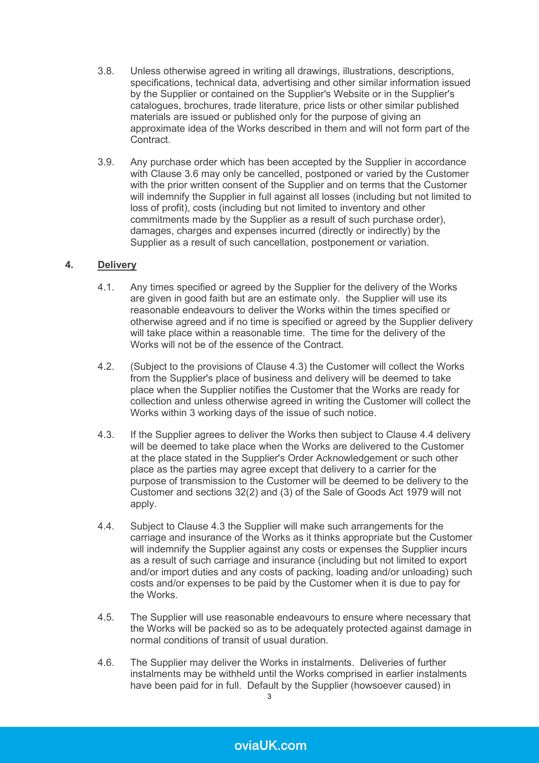- 3.8. Unless otherwise agreed in writing all drawings, illustrations, descriptions, specifications, technical data, advertising and other similar information issued by the Supplier or contained on the Supplier's Website or in the Supplier's catalogues, brochures, trade literature, price lists or other similar published materials are issued or published only for the purpose of giving an approximate idea of the Works described in them and will not form part of the **Contract**
- 3.9. Any purchase order which has been accepted by the Supplier in accordance with Clause [3.6](#page-1-1) may only be cancelled, postponed or varied by the Customer with the prior written consent of the Supplier and on terms that the Customer will indemnify the Supplier in full against all losses (including but not limited to loss of profit), costs (including but not limited to inventory and other commitments made by the Supplier as a result of such purchase order), damages, charges and expenses incurred (directly or indirectly) by the Supplier as a result of such cancellation, postponement or variation.

# **4. Delivery**

- 4.1. Any times specified or agreed by the Supplier for the delivery of the Works are given in good faith but are an estimate only. the Supplier will use its reasonable endeavours to deliver the Works within the times specified or otherwise agreed and if no time is specified or agreed by the Supplier delivery will take place within a reasonable time. The time for the delivery of the Works will not be of the essence of the Contract.
- 4.2. (Subject to the provisions of Clause [4.3\)](#page-2-0) the Customer will collect the Works from the Supplier's place of business and delivery will be deemed to take place when the Supplier notifies the Customer that the Works are ready for collection and unless otherwise agreed in writing the Customer will collect the Works within 3 working days of the issue of such notice.
- <span id="page-2-0"></span>4.3. If the Supplier agrees to deliver the Works then subject to Clause [4.4](#page-2-1) delivery will be deemed to take place when the Works are delivered to the Customer at the place stated in the Supplier's Order Acknowledgement or such other place as the parties may agree except that delivery to a carrier for the purpose of transmission to the Customer will be deemed to be delivery to the Customer and sections 32(2) and (3) of the Sale of Goods Act 1979 will not apply.
- <span id="page-2-1"></span>4.4. Subject to Clause [4.3](#page-2-0) the Supplier will make such arrangements for the carriage and insurance of the Works as it thinks appropriate but the Customer will indemnify the Supplier against any costs or expenses the Supplier incurs as a result of such carriage and insurance (including but not limited to export and/or import duties and any costs of packing, loading and/or unloading) such costs and/or expenses to be paid by the Customer when it is due to pay for the Works.
- 4.5. The Supplier will use reasonable endeavours to ensure where necessary that the Works will be packed so as to be adequately protected against damage in normal conditions of transit of usual duration.
- 4.6. The Supplier may deliver the Works in instalments. Deliveries of further instalments may be withheld until the Works comprised in earlier instalments have been paid for in full. Default by the Supplier (howsoever caused) in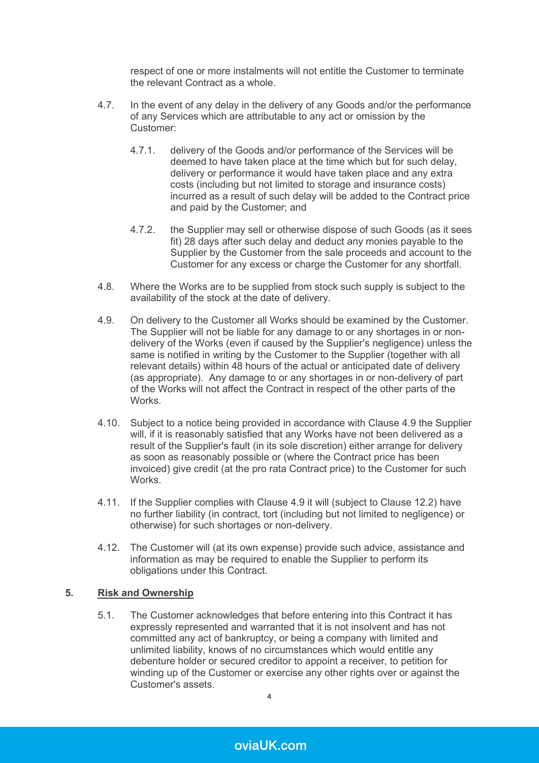respect of one or more instalments will not entitle the Customer to terminate the relevant Contract as a whole.

- 4.7. In the event of any delay in the delivery of any Goods and/or the performance of any Services which are attributable to any act or omission by the Customer:
	- 4.7.1. delivery of the Goods and/or performance of the Services will be deemed to have taken place at the time which but for such delay, delivery or performance it would have taken place and any extra costs (including but not limited to storage and insurance costs) incurred as a result of such delay will be added to the Contract price and paid by the Customer; and
	- 4.7.2. the Supplier may sell or otherwise dispose of such Goods (as it sees fit) 28 days after such delay and deduct any monies payable to the Supplier by the Customer from the sale proceeds and account to the Customer for any excess or charge the Customer for any shortfall.
- 4.8. Where the Works are to be supplied from stock such supply is subject to the availability of the stock at the date of delivery.
- <span id="page-3-0"></span>4.9. On delivery to the Customer all Works should be examined by the Customer. The Supplier will not be liable for any damage to or any shortages in or nondelivery of the Works (even if caused by the Supplier's negligence) unless the same is notified in writing by the Customer to the Supplier (together with all relevant details) within 48 hours of the actual or anticipated date of delivery (as appropriate). Any damage to or any shortages in or non-delivery of part of the Works will not affect the Contract in respect of the other parts of the Works.
- 4.10. Subject to a notice being provided in accordance with Clause [4.9](#page-3-0) the Supplier will, if it is reasonably satisfied that any Works have not been delivered as a result of the Supplier's fault (in its sole discretion) either arrange for delivery as soon as reasonably possible or (where the Contract price has been invoiced) give credit (at the pro rata Contract price) to the Customer for such Works.
- 4.11. If the Supplier complies with Clause [4.9](#page-3-0) it will (subject to Clause [12.2\)](#page-11-0) have no further liability (in contract, tort (including but not limited to negligence) or otherwise) for such shortages or non-delivery.
- 4.12. The Customer will (at its own expense) provide such advice, assistance and information as may be required to enable the Supplier to perform its obligations under this Contract.

# **5. Risk and Ownership**

5.1. The Customer acknowledges that before entering into this Contract it has expressly represented and warranted that it is not insolvent and has not committed any act of bankruptcy, or being a company with limited and unlimited liability, knows of no circumstances which would entitle any debenture holder or secured creditor to appoint a receiver, to petition for winding up of the Customer or exercise any other rights over or against the Customer's assets.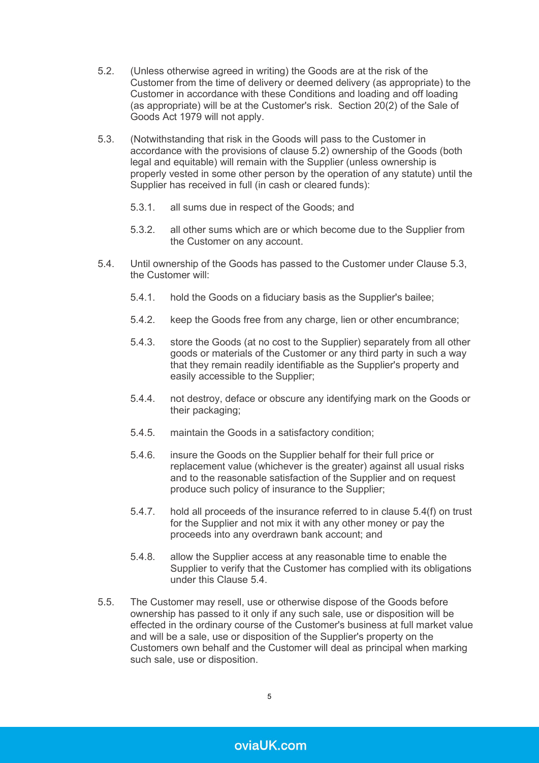- <span id="page-4-0"></span>5.2. (Unless otherwise agreed in writing) the Goods are at the risk of the Customer from the time of delivery or deemed delivery (as appropriate) to the Customer in accordance with these Conditions and loading and off loading (as appropriate) will be at the Customer's risk. Section 20(2) of the Sale of Goods Act 1979 will not apply.
- <span id="page-4-1"></span>5.3. (Notwithstanding that risk in the Goods will pass to the Customer in accordance with the provisions of clause [5.2\)](#page-4-0) ownership of the Goods (both legal and equitable) will remain with the Supplier (unless ownership is properly vested in some other person by the operation of any statute) until the Supplier has received in full (in cash or cleared funds):
	- 5.3.1. all sums due in respect of the Goods; and
	- 5.3.2. all other sums which are or which become due to the Supplier from the Customer on any account.
- <span id="page-4-2"></span>5.4. Until ownership of the Goods has passed to the Customer under Clause [5.3,](#page-4-1) the Customer will:
	- 5.4.1. hold the Goods on a fiduciary basis as the Supplier's bailee;
	- 5.4.2. keep the Goods free from any charge, lien or other encumbrance;
	- 5.4.3. store the Goods (at no cost to the Supplier) separately from all other goods or materials of the Customer or any third party in such a way that they remain readily identifiable as the Supplier's property and easily accessible to the Supplier;
	- 5.4.4. not destroy, deface or obscure any identifying mark on the Goods or their packaging;
	- 5.4.5. maintain the Goods in a satisfactory condition;
	- 5.4.6. insure the Goods on the Supplier behalf for their full price or replacement value (whichever is the greater) against all usual risks and to the reasonable satisfaction of the Supplier and on request produce such policy of insurance to the Supplier;
	- 5.4.7. hold all proceeds of the insurance referred to in clause 5.4(f) on trust for the Supplier and not mix it with any other money or pay the proceeds into any overdrawn bank account; and
	- 5.4.8. allow the Supplier access at any reasonable time to enable the Supplier to verify that the Customer has complied with its obligations under this Clause [5.4.](#page-4-2)
- 5.5. The Customer may resell, use or otherwise dispose of the Goods before ownership has passed to it only if any such sale, use or disposition will be effected in the ordinary course of the Customer's business at full market value and will be a sale, use or disposition of the Supplier's property on the Customers own behalf and the Customer will deal as principal when marking such sale, use or disposition.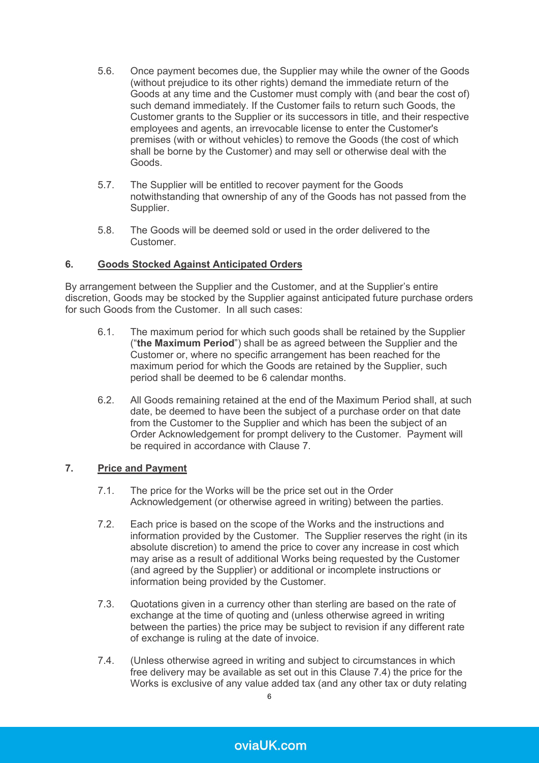- 5.6. Once payment becomes due, the Supplier may while the owner of the Goods (without prejudice to its other rights) demand the immediate return of the Goods at any time and the Customer must comply with (and bear the cost of) such demand immediately. If the Customer fails to return such Goods, the Customer grants to the Supplier or its successors in title, and their respective employees and agents, an irrevocable license to enter the Customer's premises (with or without vehicles) to remove the Goods (the cost of which shall be borne by the Customer) and may sell or otherwise deal with the Goods.
- 5.7. The Supplier will be entitled to recover payment for the Goods notwithstanding that ownership of any of the Goods has not passed from the Supplier.
- 5.8. The Goods will be deemed sold or used in the order delivered to the **Customer**

# **6. Goods Stocked Against Anticipated Orders**

By arrangement between the Supplier and the Customer, and at the Supplier's entire discretion, Goods may be stocked by the Supplier against anticipated future purchase orders for such Goods from the Customer. In all such cases:

- 6.1. The maximum period for which such goods shall be retained by the Supplier ("**the Maximum Period**") shall be as agreed between the Supplier and the Customer or, where no specific arrangement has been reached for the maximum period for which the Goods are retained by the Supplier, such period shall be deemed to be 6 calendar months.
- 6.2. All Goods remaining retained at the end of the Maximum Period shall, at such date, be deemed to have been the subject of a purchase order on that date from the Customer to the Supplier and which has been the subject of an Order Acknowledgement for prompt delivery to the Customer. Payment will be required in accordance with Clause [7.](#page-5-0)

# <span id="page-5-0"></span>**7. Price and Payment**

- 7.1. The price for the Works will be the price set out in the Order Acknowledgement (or otherwise agreed in writing) between the parties.
- 7.2. Each price is based on the scope of the Works and the instructions and information provided by the Customer. The Supplier reserves the right (in its absolute discretion) to amend the price to cover any increase in cost which may arise as a result of additional Works being requested by the Customer (and agreed by the Supplier) or additional or incomplete instructions or information being provided by the Customer.
- 7.3. Quotations given in a currency other than sterling are based on the rate of exchange at the time of quoting and (unless otherwise agreed in writing between the parties) the price may be subject to revision if any different rate of exchange is ruling at the date of invoice.
- <span id="page-5-1"></span>7.4. (Unless otherwise agreed in writing and subject to circumstances in which free delivery may be available as set out in this Clause [7.4\)](#page-5-1) the price for the Works is exclusive of any value added tax (and any other tax or duty relating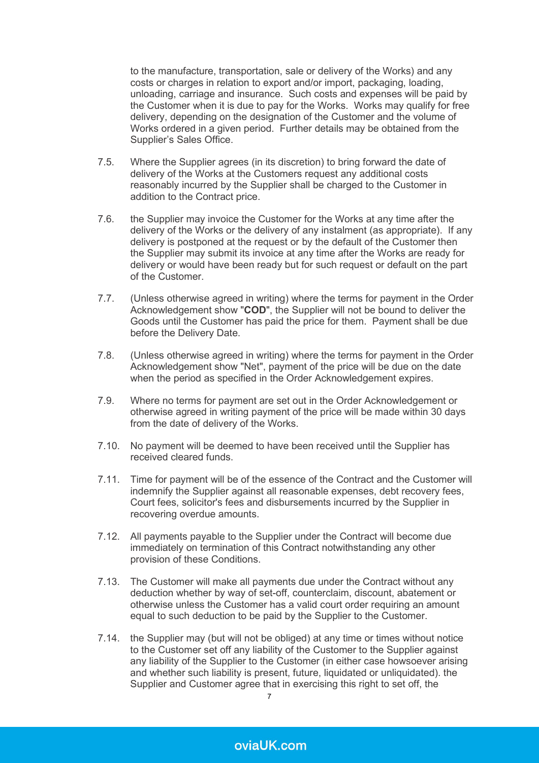to the manufacture, transportation, sale or delivery of the Works) and any costs or charges in relation to export and/or import, packaging, loading, unloading, carriage and insurance. Such costs and expenses will be paid by the Customer when it is due to pay for the Works. Works may qualify for free delivery, depending on the designation of the Customer and the volume of Works ordered in a given period. Further details may be obtained from the Supplier's Sales Office.

- 7.5. Where the Supplier agrees (in its discretion) to bring forward the date of delivery of the Works at the Customers request any additional costs reasonably incurred by the Supplier shall be charged to the Customer in addition to the Contract price.
- 7.6. the Supplier may invoice the Customer for the Works at any time after the delivery of the Works or the delivery of any instalment (as appropriate). If any delivery is postponed at the request or by the default of the Customer then the Supplier may submit its invoice at any time after the Works are ready for delivery or would have been ready but for such request or default on the part of the Customer.
- 7.7. (Unless otherwise agreed in writing) where the terms for payment in the Order Acknowledgement show "**COD**", the Supplier will not be bound to deliver the Goods until the Customer has paid the price for them. Payment shall be due before the Delivery Date.
- 7.8. (Unless otherwise agreed in writing) where the terms for payment in the Order Acknowledgement show "Net", payment of the price will be due on the date when the period as specified in the Order Acknowledgement expires.
- 7.9. Where no terms for payment are set out in the Order Acknowledgement or otherwise agreed in writing payment of the price will be made within 30 days from the date of delivery of the Works.
- 7.10. No payment will be deemed to have been received until the Supplier has received cleared funds.
- 7.11. Time for payment will be of the essence of the Contract and the Customer will indemnify the Supplier against all reasonable expenses, debt recovery fees, Court fees, solicitor's fees and disbursements incurred by the Supplier in recovering overdue amounts.
- 7.12. All payments payable to the Supplier under the Contract will become due immediately on termination of this Contract notwithstanding any other provision of these Conditions.
- 7.13. The Customer will make all payments due under the Contract without any deduction whether by way of set-off, counterclaim, discount, abatement or otherwise unless the Customer has a valid court order requiring an amount equal to such deduction to be paid by the Supplier to the Customer.
- <span id="page-6-0"></span>7.14. the Supplier may (but will not be obliged) at any time or times without notice to the Customer set off any liability of the Customer to the Supplier against any liability of the Supplier to the Customer (in either case howsoever arising and whether such liability is present, future, liquidated or unliquidated). the Supplier and Customer agree that in exercising this right to set off, the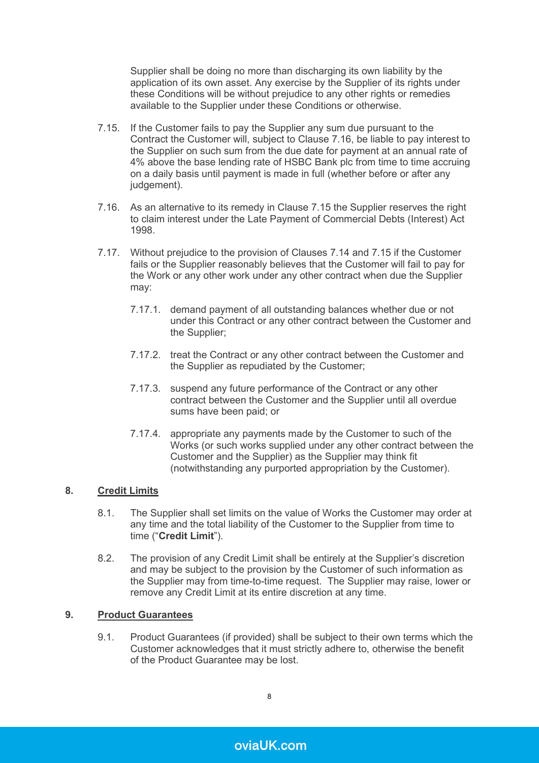Supplier shall be doing no more than discharging its own liability by the application of its own asset. Any exercise by the Supplier of its rights under these Conditions will be without prejudice to any other rights or remedies available to the Supplier under these Conditions or otherwise.

- <span id="page-7-1"></span>7.15. If the Customer fails to pay the Supplier any sum due pursuant to the Contract the Customer will, subject to Clause [7.16,](#page-7-0) be liable to pay interest to the Supplier on such sum from the due date for payment at an annual rate of 4% above the base lending rate of HSBC Bank plc from time to time accruing on a daily basis until payment is made in full (whether before or after any judgement).
- <span id="page-7-0"></span>7.16. As an alternative to its remedy in Clause [7.15](#page-7-1) the Supplier reserves the right to claim interest under the Late Payment of Commercial Debts (Interest) Act 1998.
- 7.17. Without prejudice to the provision of Clauses [7.14](#page-6-0) and [7.15](#page-7-1) if the Customer fails or the Supplier reasonably believes that the Customer will fail to pay for the Work or any other work under any other contract when due the Supplier may:
	- 7.17.1. demand payment of all outstanding balances whether due or not under this Contract or any other contract between the Customer and the Supplier;
	- 7.17.2. treat the Contract or any other contract between the Customer and the Supplier as repudiated by the Customer;
	- 7.17.3. suspend any future performance of the Contract or any other contract between the Customer and the Supplier until all overdue sums have been paid; or
	- 7.17.4. appropriate any payments made by the Customer to such of the Works (or such works supplied under any other contract between the Customer and the Supplier) as the Supplier may think fit (notwithstanding any purported appropriation by the Customer).

# **8. Credit Limits**

- 8.1. The Supplier shall set limits on the value of Works the Customer may order at any time and the total liability of the Customer to the Supplier from time to time ("**Credit Limit**").
- 8.2. The provision of any Credit Limit shall be entirely at the Supplier's discretion and may be subject to the provision by the Customer of such information as the Supplier may from time-to-time request. The Supplier may raise, lower or remove any Credit Limit at its entire discretion at any time.

# **9. Product Guarantees**

9.1. Product Guarantees (if provided) shall be subject to their own terms which the Customer acknowledges that it must strictly adhere to, otherwise the benefit of the Product Guarantee may be lost.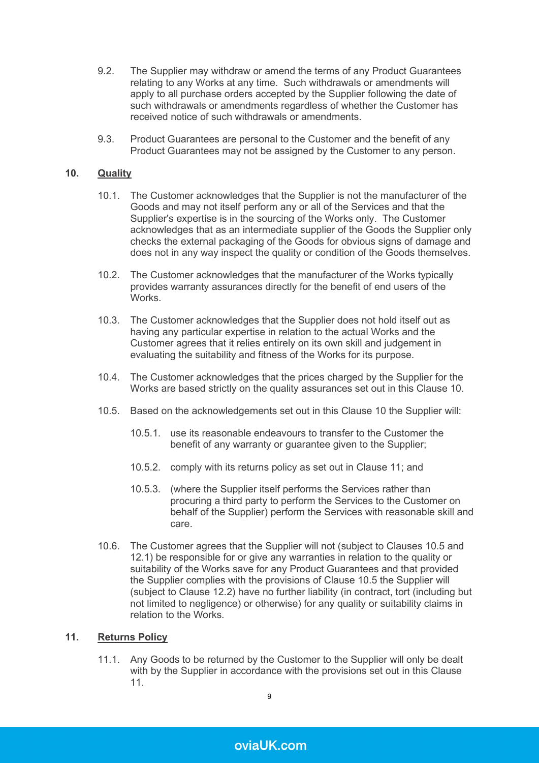- 9.2. The Supplier may withdraw or amend the terms of any Product Guarantees relating to any Works at any time. Such withdrawals or amendments will apply to all purchase orders accepted by the Supplier following the date of such withdrawals or amendments regardless of whether the Customer has received notice of such withdrawals or amendments.
- 9.3. Product Guarantees are personal to the Customer and the benefit of any Product Guarantees may not be assigned by the Customer to any person.

# <span id="page-8-0"></span>**10. Quality**

- 10.1. The Customer acknowledges that the Supplier is not the manufacturer of the Goods and may not itself perform any or all of the Services and that the Supplier's expertise is in the sourcing of the Works only. The Customer acknowledges that as an intermediate supplier of the Goods the Supplier only checks the external packaging of the Goods for obvious signs of damage and does not in any way inspect the quality or condition of the Goods themselves.
- 10.2. The Customer acknowledges that the manufacturer of the Works typically provides warranty assurances directly for the benefit of end users of the **Works**
- 10.3. The Customer acknowledges that the Supplier does not hold itself out as having any particular expertise in relation to the actual Works and the Customer agrees that it relies entirely on its own skill and judgement in evaluating the suitability and fitness of the Works for its purpose.
- 10.4. The Customer acknowledges that the prices charged by the Supplier for the Works are based strictly on the quality assurances set out in this Clause [10.](#page-8-0)
- <span id="page-8-2"></span>10.5. Based on the acknowledgements set out in this Clause [10](#page-8-0) the Supplier will:
	- 10.5.1. use its reasonable endeavours to transfer to the Customer the benefit of any warranty or guarantee given to the Supplier;
	- 10.5.2. comply with its returns policy as set out in Clause [11;](#page-8-1) and
	- 10.5.3. (where the Supplier itself performs the Services rather than procuring a third party to perform the Services to the Customer on behalf of the Supplier) perform the Services with reasonable skill and care.
- 10.6. The Customer agrees that the Supplier will not (subject to Clauses [10.5](#page-8-2) and [12.1\)](#page-11-1) be responsible for or give any warranties in relation to the quality or suitability of the Works save for any Product Guarantees and that provided the Supplier complies with the provisions of Clause [10.5](#page-8-2) the Supplier will (subject to Clause [12.2\)](#page-11-0) have no further liability (in contract, tort (including but not limited to negligence) or otherwise) for any quality or suitability claims in relation to the Works.

#### <span id="page-8-1"></span>**11. Returns Policy**

11.1. Any Goods to be returned by the Customer to the Supplier will only be dealt with by the Supplier in accordance with the provisions set out in this Clause [11.](#page-8-1)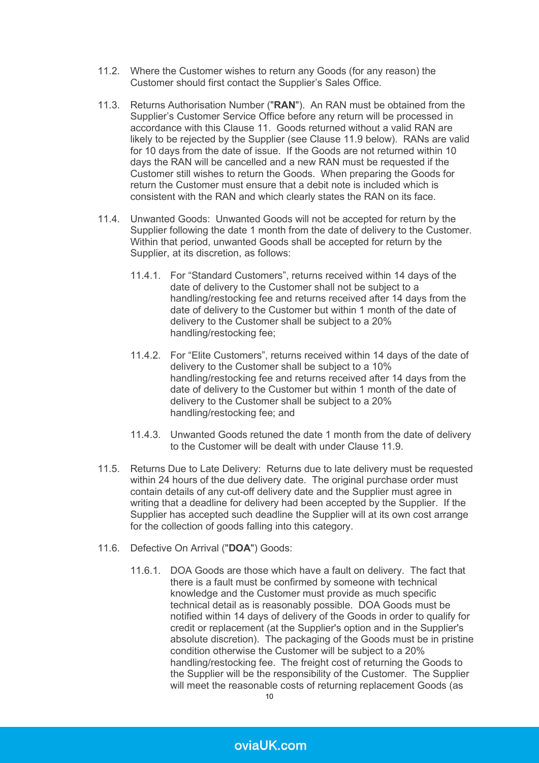- 11.2. Where the Customer wishes to return any Goods (for any reason) the Customer should first contact the Supplier's Sales Office.
- 11.3. Returns Authorisation Number ("**RAN**"). An RAN must be obtained from the Supplier's Customer Service Office before any return will be processed in accordance with this Clause [11.](#page-8-1) Goods returned without a valid RAN are likely to be rejected by the Supplier (see Clause [11.9](#page-10-1) below). RANs are valid for 10 days from the date of issue. If the Goods are not returned within 10 days the RAN will be cancelled and a new RAN must be requested if the Customer still wishes to return the Goods. When preparing the Goods for return the Customer must ensure that a debit note is included which is consistent with the RAN and which clearly states the RAN on its face.
- <span id="page-9-0"></span>11.4. Unwanted Goods: Unwanted Goods will not be accepted for return by the Supplier following the date 1 month from the date of delivery to the Customer. Within that period, unwanted Goods shall be accepted for return by the Supplier, at its discretion, as follows:
	- 11.4.1. For "Standard Customers", returns received within 14 days of the date of delivery to the Customer shall not be subject to a handling/restocking fee and returns received after 14 days from the date of delivery to the Customer but within 1 month of the date of delivery to the Customer shall be subject to a 20% handling/restocking fee;
	- 11.4.2. For "Elite Customers", returns received within 14 days of the date of delivery to the Customer shall be subject to a 10% handling/restocking fee and returns received after 14 days from the date of delivery to the Customer but within 1 month of the date of delivery to the Customer shall be subject to a 20% handling/restocking fee; and
	- 11.4.3. Unwanted Goods retuned the date 1 month from the date of delivery to the Customer will be dealt with under Clause [11.9.](#page-10-1)
- 11.5. Returns Due to Late Delivery: Returns due to late delivery must be requested within 24 hours of the due delivery date. The original purchase order must contain details of any cut-off delivery date and the Supplier must agree in writing that a deadline for delivery had been accepted by the Supplier. If the Supplier has accepted such deadline the Supplier will at its own cost arrange for the collection of goods falling into this category.
- 11.6. Defective On Arrival ("**DOA**") Goods:
	- 11.6.1. DOA Goods are those which have a fault on delivery. The fact that there is a fault must be confirmed by someone with technical knowledge and the Customer must provide as much specific technical detail as is reasonably possible. DOA Goods must be notified within 14 days of delivery of the Goods in order to qualify for credit or replacement (at the Supplier's option and in the Supplier's absolute discretion). The packaging of the Goods must be in pristine condition otherwise the Customer will be subject to a 20% handling/restocking fee. The freight cost of returning the Goods to the Supplier will be the responsibility of the Customer. The Supplier will meet the reasonable costs of returning replacement Goods (as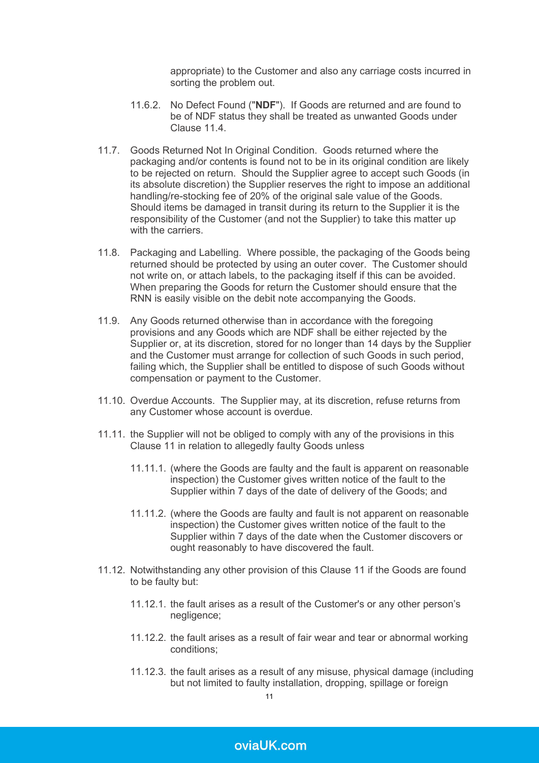appropriate) to the Customer and also any carriage costs incurred in sorting the problem out.

- 11.6.2. No Defect Found ("**NDF**"). If Goods are returned and are found to be of NDF status they shall be treated as unwanted Goods under Clause 11.4
- <span id="page-10-0"></span>11.7. Goods Returned Not In Original Condition. Goods returned where the packaging and/or contents is found not to be in its original condition are likely to be rejected on return. Should the Supplier agree to accept such Goods (in its absolute discretion) the Supplier reserves the right to impose an additional handling/re-stocking fee of 20% of the original sale value of the Goods. Should items be damaged in transit during its return to the Supplier it is the responsibility of the Customer (and not the Supplier) to take this matter up with the carriers.
- 11.8. Packaging and Labelling. Where possible, the packaging of the Goods being returned should be protected by using an outer cover. The Customer should not write on, or attach labels, to the packaging itself if this can be avoided. When preparing the Goods for return the Customer should ensure that the RNN is easily visible on the debit note accompanying the Goods.
- <span id="page-10-1"></span>11.9. Any Goods returned otherwise than in accordance with the foregoing provisions and any Goods which are NDF shall be either rejected by the Supplier or, at its discretion, stored for no longer than 14 days by the Supplier and the Customer must arrange for collection of such Goods in such period, failing which, the Supplier shall be entitled to dispose of such Goods without compensation or payment to the Customer.
- 11.10. Overdue Accounts. The Supplier may, at its discretion, refuse returns from any Customer whose account is overdue.
- 11.11. the Supplier will not be obliged to comply with any of the provisions in this Clause [11](#page-8-1) in relation to allegedly faulty Goods unless
	- 11.11.1. (where the Goods are faulty and the fault is apparent on reasonable inspection) the Customer gives written notice of the fault to the Supplier within 7 days of the date of delivery of the Goods; and
	- 11.11.2. (where the Goods are faulty and fault is not apparent on reasonable inspection) the Customer gives written notice of the fault to the Supplier within 7 days of the date when the Customer discovers or ought reasonably to have discovered the fault.
- 11.12. Notwithstanding any other provision of this Clause [11](#page-8-1) if the Goods are found to be faulty but:
	- 11.12.1. the fault arises as a result of the Customer's or any other person's negligence;
	- 11.12.2. the fault arises as a result of fair wear and tear or abnormal working conditions;
	- 11.12.3. the fault arises as a result of any misuse, physical damage (including but not limited to faulty installation, dropping, spillage or foreign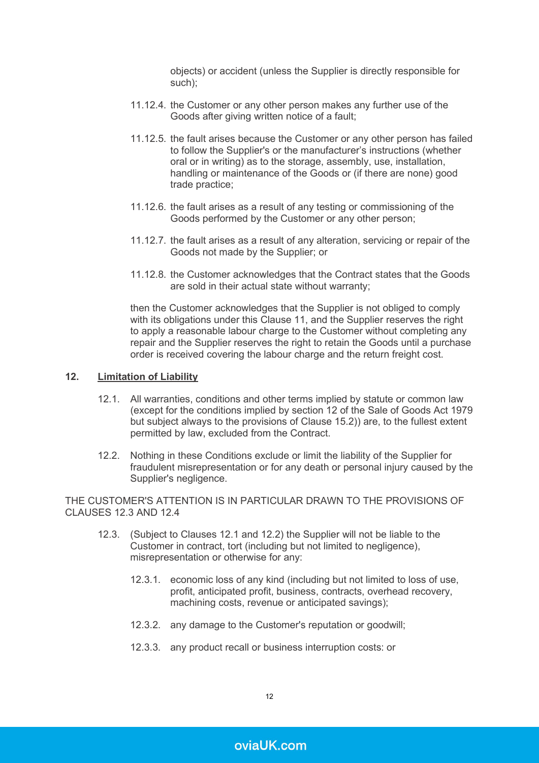objects) or accident (unless the Supplier is directly responsible for such);

- 11.12.4. the Customer or any other person makes any further use of the Goods after giving written notice of a fault;
- 11.12.5. the fault arises because the Customer or any other person has failed to follow the Supplier's or the manufacturer's instructions (whether oral or in writing) as to the storage, assembly, use, installation, handling or maintenance of the Goods or (if there are none) good trade practice;
- 11.12.6. the fault arises as a result of any testing or commissioning of the Goods performed by the Customer or any other person;
- 11.12.7. the fault arises as a result of any alteration, servicing or repair of the Goods not made by the Supplier; or
- 11.12.8. the Customer acknowledges that the Contract states that the Goods are sold in their actual state without warranty;

then the Customer acknowledges that the Supplier is not obliged to comply with its obligations under this Clause [11,](#page-8-1) and the Supplier reserves the right to apply a reasonable labour charge to the Customer without completing any repair and the Supplier reserves the right to retain the Goods until a purchase order is received covering the labour charge and the return freight cost.

#### <span id="page-11-3"></span><span id="page-11-1"></span>**12. Limitation of Liability**

- 12.1. All warranties, conditions and other terms implied by statute or common law (except for the conditions implied by section 12 of the Sale of Goods Act 1979 but subject always to the provisions of Clause [15.2\)](#page-13-0)) are, to the fullest extent permitted by law, excluded from the Contract.
- <span id="page-11-0"></span>12.2. Nothing in these Conditions exclude or limit the liability of the Supplier for fraudulent misrepresentation or for any death or personal injury caused by the Supplier's negligence.

<span id="page-11-2"></span>THE CUSTOMER'S ATTENTION IS IN PARTICULAR DRAWN TO THE PROVISIONS OF CLAUSES [12.3](#page-11-2) AND [12.4](#page-12-0)

- 12.3. (Subject to Clauses [12.1](#page-11-1) and [12.2\)](#page-11-0) the Supplier will not be liable to the Customer in contract, tort (including but not limited to negligence), misrepresentation or otherwise for any:
	- 12.3.1. economic loss of any kind (including but not limited to loss of use, profit, anticipated profit, business, contracts, overhead recovery, machining costs, revenue or anticipated savings);
	- 12.3.2. any damage to the Customer's reputation or goodwill;
	- 12.3.3. any product recall or business interruption costs: or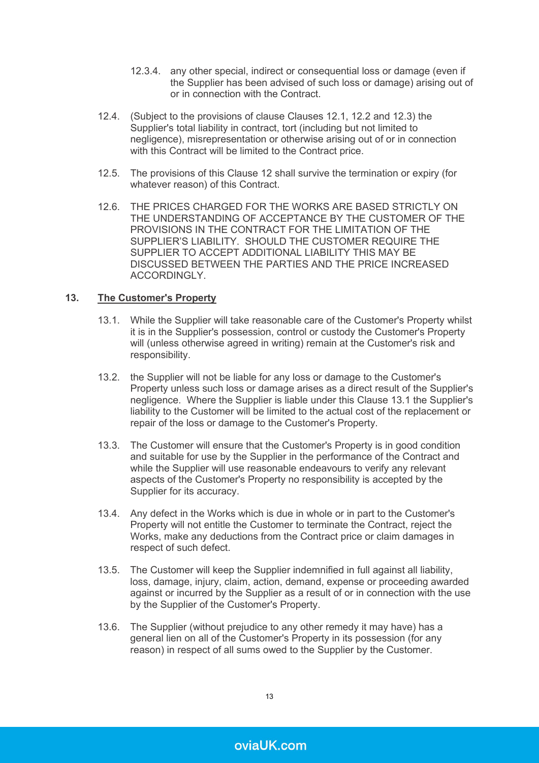- 12.3.4. any other special, indirect or consequential loss or damage (even if the Supplier has been advised of such loss or damage) arising out of or in connection with the Contract.
- <span id="page-12-0"></span>12.4. (Subject to the provisions of clause Clauses [12.1,](#page-11-1) [12.2](#page-11-0) and [12.3\)](#page-11-2) the Supplier's total liability in contract, tort (including but not limited to negligence), misrepresentation or otherwise arising out of or in connection with this Contract will be limited to the Contract price.
- 12.5. The provisions of this Clause [12](#page-11-3) shall survive the termination or expiry (for whatever reason) of this Contract.
- 12.6. THE PRICES CHARGED FOR THE WORKS ARE BASED STRICTLY ON THE UNDERSTANDING OF ACCEPTANCE BY THE CUSTOMER OF THE PROVISIONS IN THE CONTRACT FOR THE LIMITATION OF THE SUPPLIER'S LIABILITY. SHOULD THE CUSTOMER REQUIRE THE SUPPLIER TO ACCEPT ADDITIONAL LIABILITY THIS MAY BE DISCUSSED BETWEEN THE PARTIES AND THE PRICE INCREASED ACCORDINGLY.

#### <span id="page-12-1"></span>**13. The Customer's Property**

- 13.1. While the Supplier will take reasonable care of the Customer's Property whilst it is in the Supplier's possession, control or custody the Customer's Property will (unless otherwise agreed in writing) remain at the Customer's risk and responsibility.
- 13.2. the Supplier will not be liable for any loss or damage to the Customer's Property unless such loss or damage arises as a direct result of the Supplier's negligence. Where the Supplier is liable under this Clause [13.1](#page-12-1) the Supplier's liability to the Customer will be limited to the actual cost of the replacement or repair of the loss or damage to the Customer's Property.
- 13.3. The Customer will ensure that the Customer's Property is in good condition and suitable for use by the Supplier in the performance of the Contract and while the Supplier will use reasonable endeavours to verify any relevant aspects of the Customer's Property no responsibility is accepted by the Supplier for its accuracy.
- 13.4. Any defect in the Works which is due in whole or in part to the Customer's Property will not entitle the Customer to terminate the Contract, reject the Works, make any deductions from the Contract price or claim damages in respect of such defect.
- 13.5. The Customer will keep the Supplier indemnified in full against all liability, loss, damage, injury, claim, action, demand, expense or proceeding awarded against or incurred by the Supplier as a result of or in connection with the use by the Supplier of the Customer's Property.
- 13.6. The Supplier (without prejudice to any other remedy it may have) has a general lien on all of the Customer's Property in its possession (for any reason) in respect of all sums owed to the Supplier by the Customer.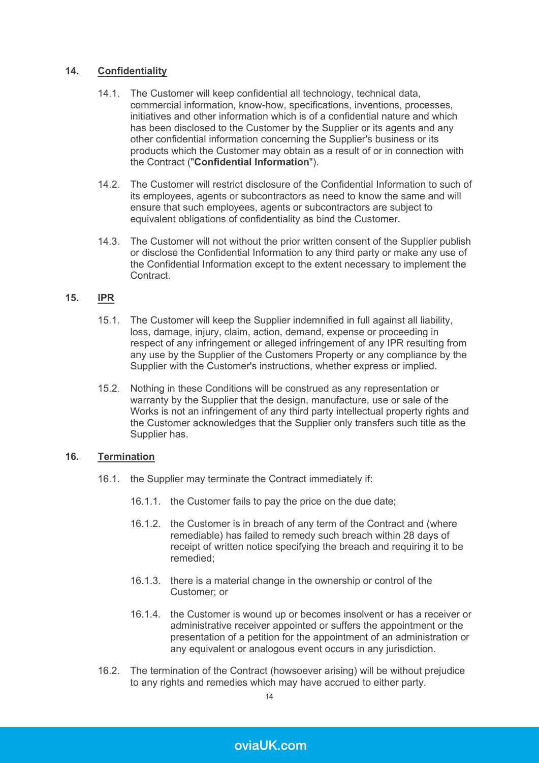# **14. Confidentiality**

- 14.1. The Customer will keep confidential all technology, technical data, commercial information, know-how, specifications, inventions, processes, initiatives and other information which is of a confidential nature and which has been disclosed to the Customer by the Supplier or its agents and any other confidential information concerning the Supplier's business or its products which the Customer may obtain as a result of or in connection with the Contract ("**Confidential Information**").
- 14.2. The Customer will restrict disclosure of the Confidential Information to such of its employees, agents or subcontractors as need to know the same and will ensure that such employees, agents or subcontractors are subject to equivalent obligations of confidentiality as bind the Customer.
- 14.3. The Customer will not without the prior written consent of the Supplier publish or disclose the Confidential Information to any third party or make any use of the Confidential Information except to the extent necessary to implement the **Contract**

#### **15. IPR**

- 15.1. The Customer will keep the Supplier indemnified in full against all liability, loss, damage, injury, claim, action, demand, expense or proceeding in respect of any infringement or alleged infringement of any IPR resulting from any use by the Supplier of the Customers Property or any compliance by the Supplier with the Customer's instructions, whether express or implied.
- <span id="page-13-0"></span>15.2. Nothing in these Conditions will be construed as any representation or warranty by the Supplier that the design, manufacture, use or sale of the Works is not an infringement of any third party intellectual property rights and the Customer acknowledges that the Supplier only transfers such title as the Supplier has.

# **16. Termination**

- 16.1. the Supplier may terminate the Contract immediately if:
	- 16.1.1. the Customer fails to pay the price on the due date;
	- 16.1.2. the Customer is in breach of any term of the Contract and (where remediable) has failed to remedy such breach within 28 days of receipt of written notice specifying the breach and requiring it to be remedied;
	- 16.1.3. there is a material change in the ownership or control of the Customer; or
	- 16.1.4. the Customer is wound up or becomes insolvent or has a receiver or administrative receiver appointed or suffers the appointment or the presentation of a petition for the appointment of an administration or any equivalent or analogous event occurs in any jurisdiction.
- 16.2. The termination of the Contract (howsoever arising) will be without prejudice to any rights and remedies which may have accrued to either party.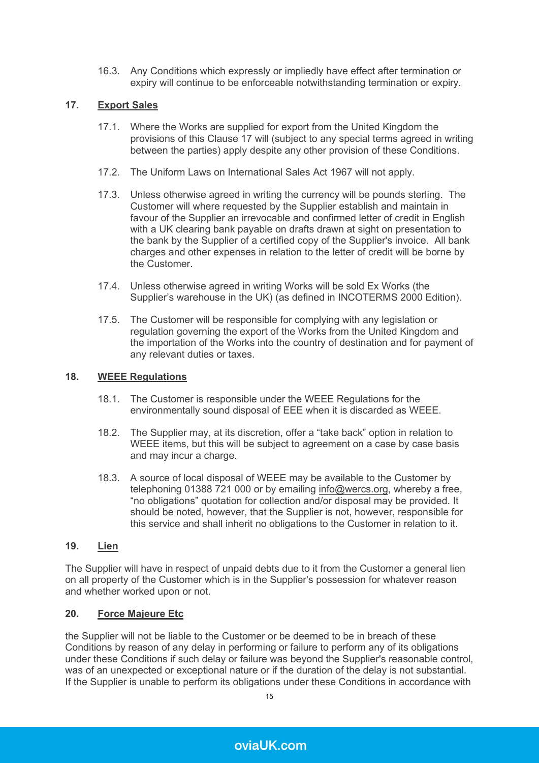16.3. Any Conditions which expressly or impliedly have effect after termination or expiry will continue to be enforceable notwithstanding termination or expiry.

# <span id="page-14-0"></span>**17. Export Sales**

- 17.1. Where the Works are supplied for export from the United Kingdom the provisions of this Clause [17](#page-14-0) will (subject to any special terms agreed in writing between the parties) apply despite any other provision of these Conditions.
- 17.2. The Uniform Laws on International Sales Act 1967 will not apply.
- 17.3. Unless otherwise agreed in writing the currency will be pounds sterling. The Customer will where requested by the Supplier establish and maintain in favour of the Supplier an irrevocable and confirmed letter of credit in English with a UK clearing bank payable on drafts drawn at sight on presentation to the bank by the Supplier of a certified copy of the Supplier's invoice. All bank charges and other expenses in relation to the letter of credit will be borne by the Customer.
- 17.4. Unless otherwise agreed in writing Works will be sold Ex Works (the Supplier's warehouse in the UK) (as defined in INCOTERMS 2000 Edition).
- 17.5. The Customer will be responsible for complying with any legislation or regulation governing the export of the Works from the United Kingdom and the importation of the Works into the country of destination and for payment of any relevant duties or taxes.

## **18. WEEE Regulations**

- 18.1. The Customer is responsible under the WEEE Regulations for the environmentally sound disposal of EEE when it is discarded as WEEE.
- 18.2. The Supplier may, at its discretion, offer a "take back" option in relation to WEEE items, but this will be subject to agreement on a case by case basis and may incur a charge.
- 18.3. A source of local disposal of WEEE may be available to the Customer by telephoning 01388 721 000 or by emailing [info@wercs.org](mailto:info@weelight.co.uk), whereby a free, "no obligations" quotation for collection and/or disposal may be provided. It should be noted, however, that the Supplier is not, however, responsible for this service and shall inherit no obligations to the Customer in relation to it.

# **19. Lien**

The Supplier will have in respect of unpaid debts due to it from the Customer a general lien on all property of the Customer which is in the Supplier's possession for whatever reason and whether worked upon or not.

# <span id="page-14-1"></span>**20. Force Majeure Etc**

the Supplier will not be liable to the Customer or be deemed to be in breach of these Conditions by reason of any delay in performing or failure to perform any of its obligations under these Conditions if such delay or failure was beyond the Supplier's reasonable control, was of an unexpected or exceptional nature or if the duration of the delay is not substantial. If the Supplier is unable to perform its obligations under these Conditions in accordance with